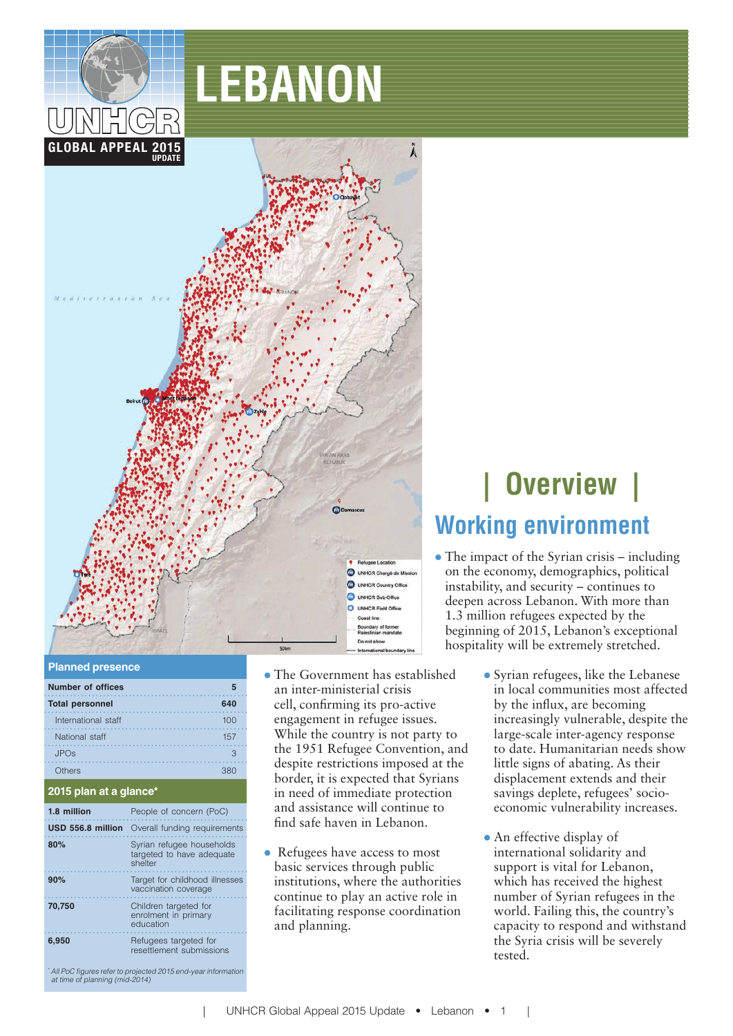

# **LEBANON**



#### **Planned presence**

| <b>Number of offices</b> | 5   |
|--------------------------|-----|
| <b>Total personnel</b>   | 640 |
| International staff      | 100 |
| National staff           | 157 |
| <b>JPOs</b>              | З   |
| thers                    | 380 |

#### **2015 plan at a glance\***

| 1.8 million       | People of concern (PoC)                                           |
|-------------------|-------------------------------------------------------------------|
| USD 556.8 million | Overall funding requirements                                      |
| 80%               | Syrian refugee households<br>targeted to have adequate<br>shelter |
| 90%               | Target for childhood illnesses<br>vaccination coverage            |
| 70.750            | Children targeted for<br>enrolment in primary<br>education        |
| 6.950             | Refugees targeted for<br>resettlement submissions                 |

despite restrictions imposed at the border, it is expected that Syrians in need of immediate protection and assistance will continue to nd safe haven in Lebanon. • Refugees have access to most

basic services through public institutions, where the authorities continue to play an active role in facilitating response coordination and planning.

 The Government has established an inter-ministerial crisis cell, confirming its pro-active engagement in refugee issues. While the country is not party to the 1951 Refugee Convention, and

# **| Overview | Working environment**

- The impact of the Syrian crisis including on the economy, demographics, political instability, and security – continues to deepen across Lebanon. With more than 1.3 million refugees expected by the beginning of 2015, Lebanon's exceptional hospitality will be extremely stretched.
	- Syrian refugees, like the Lebanese in local communities most affected by the influx, are becoming increasingly vulnerable, despite the large-scale inter-agency response to date. Humanitarian needs show little signs of abating. As their displacement extends and their savings deplete, refugees' socioeconomic vulnerability increases.
	- An effective display of international solidarity and support is vital for Lebanon, which has received the highest number of Syrian refugees in the world. Failing this, the country's capacity to respond and withstand the Syria crisis will be severely tested.

\* All PoC figures refer to projected 2015 end-year information<br>at time of planning (mid-2014)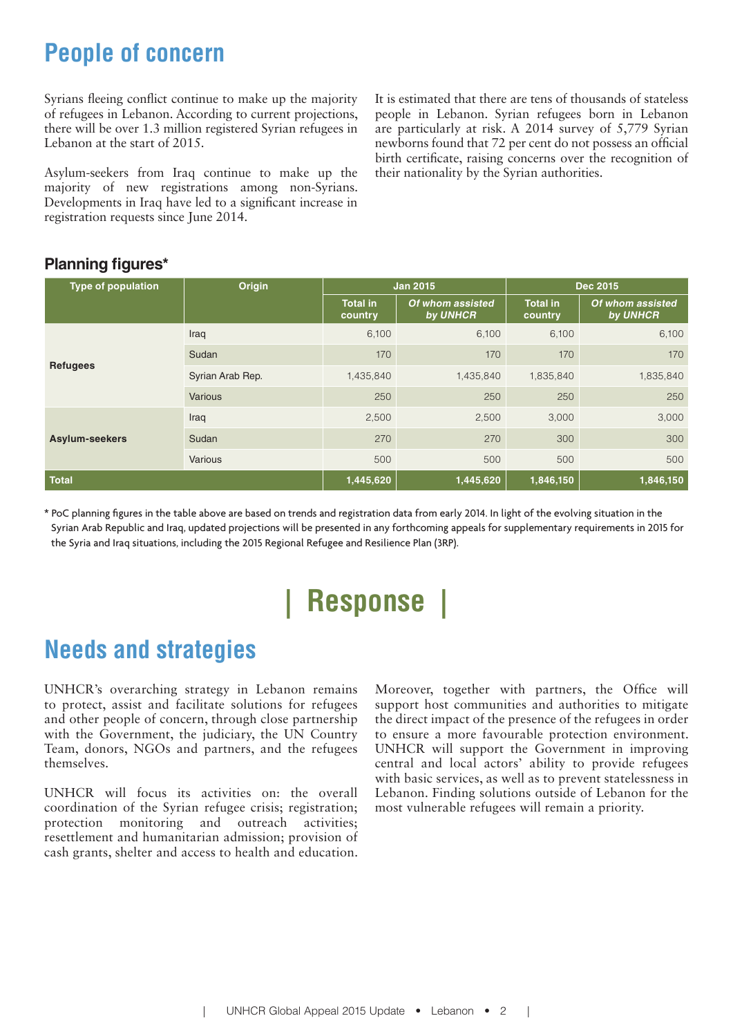## **People of concern**

Syrians fleeing conflict continue to make up the majority of refugees in Lebanon. According to current projections, there will be over 1.3 million registered Syrian refugees in Lebanon at the start of 2015.

Asylum-seekers from Iraq continue to make up the majority of new registrations among non-Syrians. Developments in Iraq have led to a significant increase in registration requests since June 2014.

It is estimated that there are tens of thousands of stateless people in Lebanon. Syrian refugees born in Lebanon are particularly at risk. A 2014 survey of 5,779 Syrian newborns found that 72 per cent do not possess an official birth certificate, raising concerns over the recognition of their nationality by the Syrian authorities.

#### **Planning figures\***

| Type of population | Origin           | <b>Jan 2015</b>            |                              | <b>Dec 2015</b>            |                              |
|--------------------|------------------|----------------------------|------------------------------|----------------------------|------------------------------|
|                    |                  | <b>Total in</b><br>country | Of whom assisted<br>by UNHCR | <b>Total in</b><br>country | Of whom assisted<br>by UNHCR |
| <b>Refugees</b>    | Iraq             | 6,100                      | 6,100                        | 6,100                      | 6,100                        |
|                    | Sudan            | 170                        | 170                          | 170                        | 170                          |
|                    | Syrian Arab Rep. | 1,435,840                  | 1,435,840                    | 1,835,840                  | 1,835,840                    |
|                    | Various          | 250                        | 250                          | 250                        | 250                          |
| Asylum-seekers     | Iraq             | 2,500                      | 2,500                        | 3,000                      | 3,000                        |
|                    | Sudan            | 270                        | 270                          | 300                        | 300                          |
|                    | Various          | 500                        | 500                          | 500                        | 500                          |
| <b>Total</b>       |                  | 1,445,620                  | 1,445,620                    | 1,846,150                  | 1,846,150                    |

\* PoC planning figures in the table above are based on trends and registration data from early 2014. In light of the evolving situation in the Syrian Arab Republic and Iraq, updated projections will be presented in any forthcoming appeals for supplementary requirements in 2015 for the Syria and Iraq situations, including the 2015 Regional Refugee and Resilience Plan (3RP).

# **| Response |**

# **Needs and strategies**

UNHCR's overarching strategy in Lebanon remains to protect, assist and facilitate solutions for refugees and other people of concern, through close partnership with the Government, the judiciary, the UN Country Team, donors, NGOs and partners, and the refugees themselves.

UNHCR will focus its activities on: the overall coordination of the Syrian refugee crisis; registration; protection monitoring and outreach activities; resettlement and humanitarian admission; provision of cash grants, shelter and access to health and education.

Moreover, together with partners, the Office will support host communities and authorities to mitigate the direct impact of the presence of the refugees in order to ensure a more favourable protection environment. UNHCR will support the Government in improving central and local actors' ability to provide refugees with basic services, as well as to prevent statelessness in Lebanon. Finding solutions outside of Lebanon for the most vulnerable refugees will remain a priority.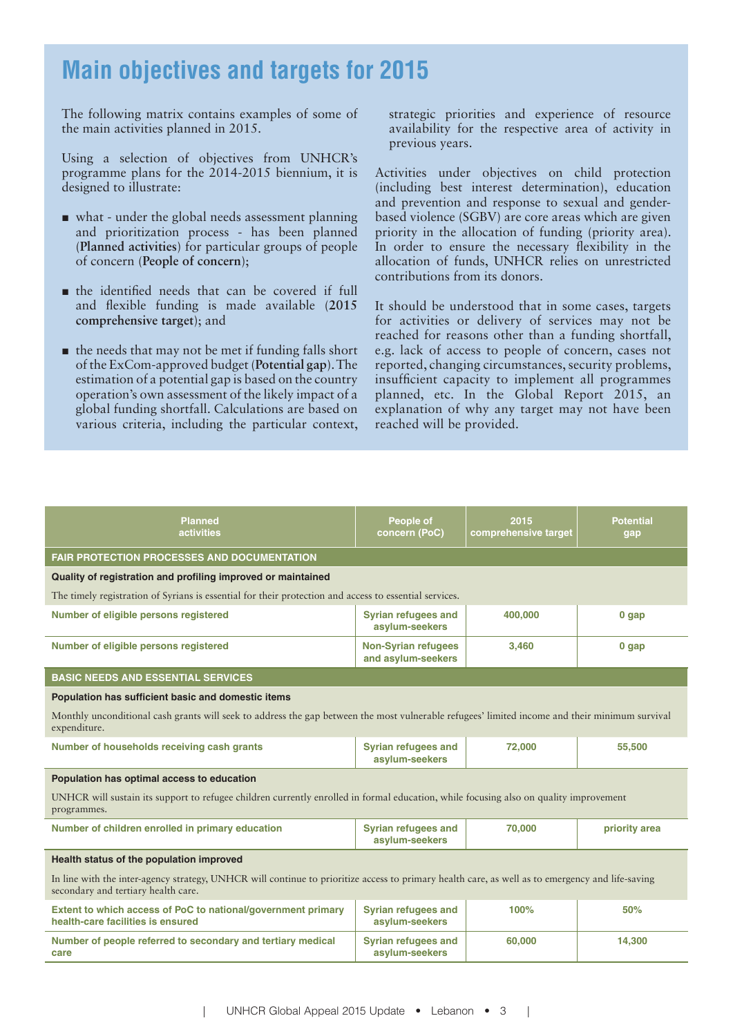### **Main objectives and targets for 2015**

The following matrix contains examples of some of the main activities planned in 2015.

Using a selection of objectives from UNHCR's programme plans for the 2014-2015 biennium, it is designed to illustrate:

- what under the global needs assessment planning and prioritization process - has been planned (**Planned activities**) for particular groups of people of concern (**People of concern**);
- $\blacksquare$  the identified needs that can be covered if full and flexible funding is made available (2015) **comprehensive target**); and
- $\blacksquare$  the needs that may not be met if funding falls short of the ExCom-approved budget (**Potential gap**). The estimation of a potential gap is based on the country operation's own assessment of the likely impact of a global funding shortfall. Calculations are based on various criteria, including the particular context,

strategic priorities and experience of resource availability for the respective area of activity in previous years.

Activities under objectives on child protection (including best interest determination), education and prevention and response to sexual and genderbased violence (SGBV) are core areas which are given priority in the allocation of funding (priority area). In order to ensure the necessary flexibility in the allocation of funds, UNHCR relies on unrestricted contributions from its donors.

It should be understood that in some cases, targets for activities or delivery of services may not be reached for reasons other than a funding shortfall, e.g. lack of access to people of concern, cases not reported, changing circumstances, security problems, insufficient capacity to implement all programmes planned, etc. In the Global Report 2015, an explanation of why any target may not have been reached will be provided.

| <b>Planned</b><br><b>activities</b>                                                                                                                                                     | People of<br>concern (PoC)                       | 2015<br>comprehensive target | <b>Potential</b><br>gap |
|-----------------------------------------------------------------------------------------------------------------------------------------------------------------------------------------|--------------------------------------------------|------------------------------|-------------------------|
| <b>FAIR PROTECTION PROCESSES AND DOCUMENTATION</b>                                                                                                                                      |                                                  |                              |                         |
| Quality of registration and profiling improved or maintained                                                                                                                            |                                                  |                              |                         |
| The timely registration of Syrians is essential for their protection and access to essential services.                                                                                  |                                                  |                              |                         |
| Number of eligible persons registered                                                                                                                                                   | <b>Syrian refugees and</b><br>asylum-seekers     | 400,000                      | $0$ gap                 |
| Number of eligible persons registered                                                                                                                                                   | <b>Non-Syrian refugees</b><br>and asylum-seekers | 3.460                        | $0$ gap                 |
| <b>BASIC NEEDS AND ESSENTIAL SERVICES</b>                                                                                                                                               |                                                  |                              |                         |
| Population has sufficient basic and domestic items                                                                                                                                      |                                                  |                              |                         |
| Monthly unconditional cash grants will seek to address the gap between the most vulnerable refugees' limited income and their minimum survival<br>expenditure.                          |                                                  |                              |                         |
| Number of households receiving cash grants                                                                                                                                              | <b>Syrian refugees and</b><br>asylum-seekers     | 72,000                       | 55,500                  |
| Population has optimal access to education                                                                                                                                              |                                                  |                              |                         |
| UNHCR will sustain its support to refugee children currently enrolled in formal education, while focusing also on quality improvement<br>programmes.                                    |                                                  |                              |                         |
| Number of children enrolled in primary education                                                                                                                                        | Syrian refugees and<br>asylum-seekers            | 70,000                       | priority area           |
| Health status of the population improved                                                                                                                                                |                                                  |                              |                         |
| In line with the inter-agency strategy, UNHCR will continue to prioritize access to primary health care, as well as to emergency and life-saving<br>secondary and tertiary health care. |                                                  |                              |                         |
| Extent to which access of PoC to national/government primary<br>health-care facilities is ensured                                                                                       | Syrian refugees and<br>asylum-seekers            | 100%                         | 50%                     |
| Number of people referred to secondary and tertiary medical<br>care                                                                                                                     | <b>Syrian refugees and</b><br>asylum-seekers     | 60.000                       | 14,300                  |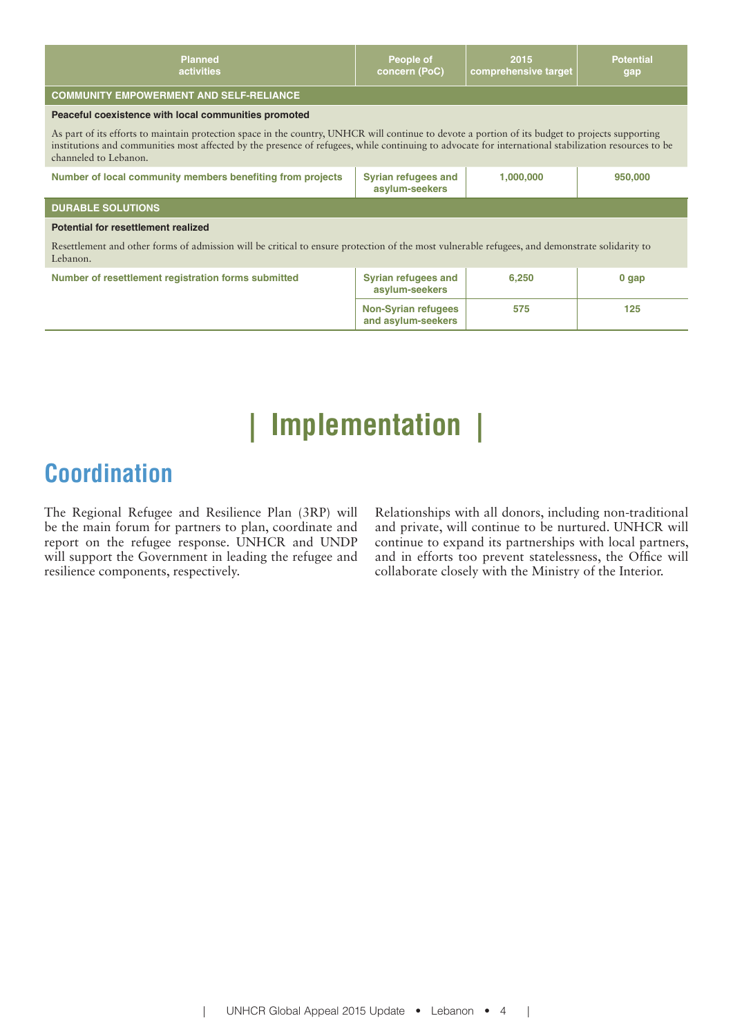| Planned<br>activities                                                                                                                                                                                                                                                                                                             | People of<br>concern (PoC)                       | 2015<br>comprehensive target | <b>Potential</b><br>gap |
|-----------------------------------------------------------------------------------------------------------------------------------------------------------------------------------------------------------------------------------------------------------------------------------------------------------------------------------|--------------------------------------------------|------------------------------|-------------------------|
| <b>COMMUNITY EMPOWERMENT AND SELF-RELIANCE</b>                                                                                                                                                                                                                                                                                    |                                                  |                              |                         |
| Peaceful coexistence with local communities promoted                                                                                                                                                                                                                                                                              |                                                  |                              |                         |
| As part of its efforts to maintain protection space in the country, UNHCR will continue to devote a portion of its budget to projects supporting<br>institutions and communities most affected by the presence of refugees, while continuing to advocate for international stabilization resources to be<br>channeled to Lebanon. |                                                  |                              |                         |
| Number of local community members benefiting from projects                                                                                                                                                                                                                                                                        | <b>Syrian refugees and</b><br>asylum-seekers     | 1,000,000                    | 950,000                 |
| <b>DURABLE SOLUTIONS</b>                                                                                                                                                                                                                                                                                                          |                                                  |                              |                         |
| Potential for resettlement realized                                                                                                                                                                                                                                                                                               |                                                  |                              |                         |
| Resettlement and other forms of admission will be critical to ensure protection of the most vulnerable refugees, and demonstrate solidarity to<br>Lebanon.                                                                                                                                                                        |                                                  |                              |                         |
| Number of resettlement registration forms submitted                                                                                                                                                                                                                                                                               | <b>Syrian refugees and</b><br>asylum-seekers     | 6.250                        | $0$ gap                 |
|                                                                                                                                                                                                                                                                                                                                   | <b>Non-Syrian refugees</b><br>and asylum-seekers | 575                          | 125                     |

# **| Implementation |**

### **Coordination**

The Regional Refugee and Resilience Plan (3RP) will be the main forum for partners to plan, coordinate and report on the refugee response. UNHCR and UNDP will support the Government in leading the refugee and resilience components, respectively.

Relationships with all donors, including non-traditional and private, will continue to be nurtured. UNHCR will continue to expand its partnerships with local partners, and in efforts too prevent statelessness, the Office will collaborate closely with the Ministry of the Interior.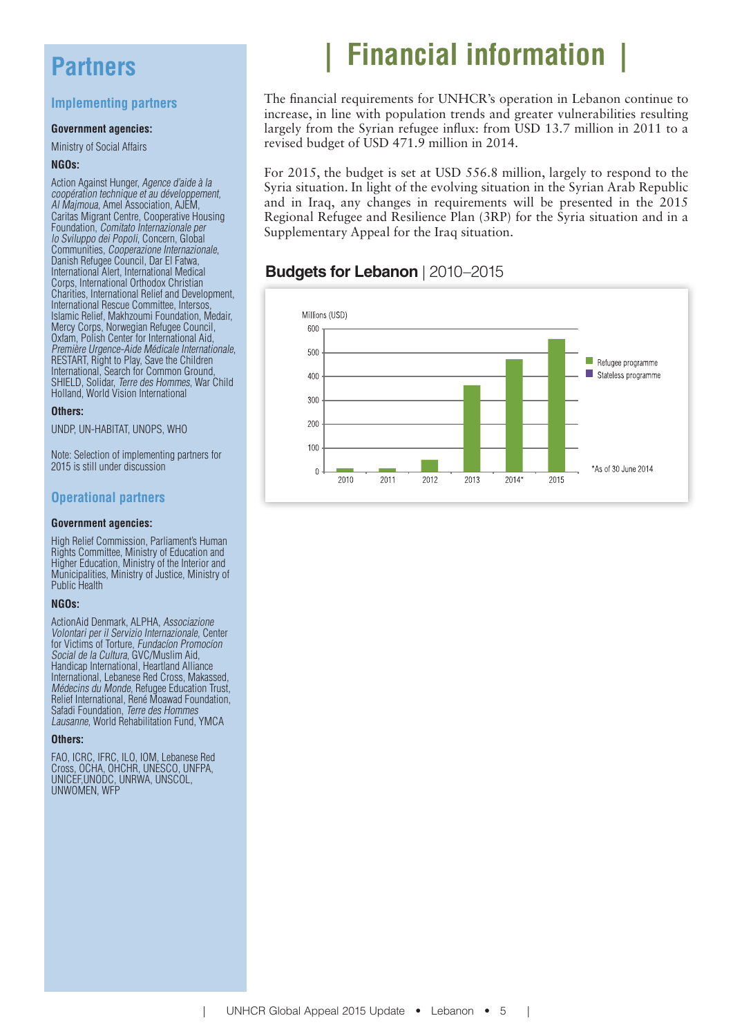### **Partners**

#### **Implementing partners**

#### **Government agencies:**

Ministry of Social Affairs

#### **NGOs:**

Action Against Hunger, Agence d'aide à la coopération technique et au développement, Al Majmoua, Amel Association, AJEM, Caritas Migrant Centre, Cooperative Housing Foundation, Comitato Internazionale per lo Sviluppo dei Popoli, Concern, Global Communities, Cooperazione Internazionale, Danish Refugee Council, Dar El Fatwa, International Alert, International Medical Corps, International Orthodox Christian Charities, International Relief and Development, International Rescue Committee, Intersos, Islamic Relief, Makhzoumi Foundation, Medair, Mercy Corps, Norwegian Refugee Council, Oxfam, Polish Center for International Aid,<br>Première Urgence-Aide Médicale Internationale. Première Urgence-Aide Médicale Internationale,<br>RESTART, Right to Play, Save the Children International, Search for Common Ground, SHIELD, Solidar, Terre des Hommes, War Child Holland, World Vision International

#### **Others:**

UNDP, UN-HABITAT, UNOPS, WHO

Note: Selection of implementing partners for 2015 is still under discussion

#### **Operational partners**

#### **Government agencies:**

High Relief Commission, Parliament's Human Rights Committee, Ministry of Education and Higher Education, Ministry of the Interior and Municipalities, Ministry of Justice, Ministry of Public Health

#### **NGOs:**

ActionAid Denmark, ALPHA, Associazione Volontari per il Servizio Internazionale, Center for Victims of Torture, Fundacíon Promocíon Social de la Cultura, GVC/Muslim Aid, Handicap International, Heartland Alliance International, Lebanese Red Cross, Makassed, Médecins du Monde, Refugee Education Trust, Relief International, René Moawad Foundation, Safadi Foundation, Terre des Hommes Lausanne, World Rehabilitation Fund, YMCA

#### **Others:**

FAO, ICRC, IFRC, ILO, IOM, Lebanese Red Cross, OCHA, OHCHR, UNESCO, UNFPA, UNICEF,UNODC, UNRWA, UNSCOL, UNWOMEN, WFP

# **| Financial information |**

The financial requirements for UNHCR's operation in Lebanon continue to increase, in line with population trends and greater vulnerabilities resulting largely from the Syrian refugee influx: from USD 13.7 million in 2011 to a revised budget of USD 471.9 million in 2014.

For 2015, the budget is set at USD 556.8 million, largely to respond to the Syria situation. In light of the evolving situation in the Syrian Arab Republic and in Iraq, any changes in requirements will be presented in the 2015 Regional Refugee and Resilience Plan (3RP) for the Syria situation and in a Supplementary Appeal for the Iraq situation.

#### **Budgets for Lebanon** | 2010–2015